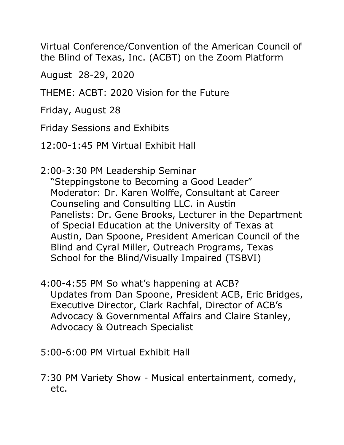Virtual Conference/Convention of the American Council of the Blind of Texas, Inc. (ACBT) on the Zoom Platform

August 28-29, 2020

THEME: ACBT: 2020 Vision for the Future

Friday, August 28

Friday Sessions and Exhibits

12:00-1:45 PM Virtual Exhibit Hall

2:00-3:30 PM Leadership Seminar

"Steppingstone to Becoming a Good Leader" Moderator: Dr. Karen Wolffe, Consultant at Career Counseling and Consulting LLC. in Austin Panelists: Dr. Gene Brooks, Lecturer in the Department of Special Education at the University of Texas at Austin, Dan Spoone, President American Council of the Blind and Cyral Miller, Outreach Programs, Texas School for the Blind/Visually Impaired (TSBVI)

- 4:00-4:55 PM So what's happening at ACB? Updates from Dan Spoone, President ACB, Eric Bridges, Executive Director, Clark Rachfal, Director of ACB's Advocacy & Governmental Affairs and Claire Stanley, Advocacy & Outreach Specialist
- 5:00-6:00 PM Virtual Exhibit Hall
- 7:30 PM Variety Show Musical entertainment, comedy, etc.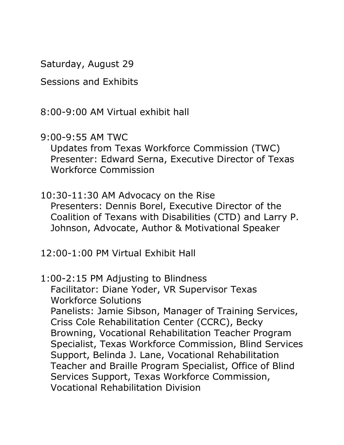Saturday, August 29

Sessions and Exhibits

8:00-9:00 AM Virtual exhibit hall

9:00-9:55 AM TWC

Updates from Texas Workforce Commission (TWC) Presenter: Edward Serna, Executive Director of Texas Workforce Commission

10:30-11:30 AM Advocacy on the Rise Presenters: Dennis Borel, Executive Director of the Coalition of Texans with Disabilities (CTD) and Larry P. Johnson, Advocate, Author & Motivational Speaker

12:00-1:00 PM Virtual Exhibit Hall

1:00-2:15 PM Adjusting to Blindness Facilitator: Diane Yoder, VR Supervisor Texas Workforce Solutions Panelists: Jamie Sibson, Manager of Training Services, Criss Cole Rehabilitation Center (CCRC), Becky Browning, Vocational Rehabilitation Teacher Program Specialist, Texas Workforce Commission, Blind Services Support, Belinda J. Lane, Vocational Rehabilitation Teacher and Braille Program Specialist, Office of Blind Services Support, Texas Workforce Commission, Vocational Rehabilitation Division